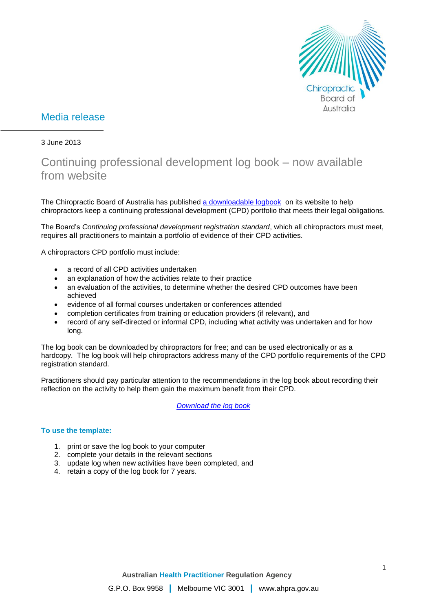

# Media release

### 3 June 2013

# Continuing professional development log book – now available from website

The Chiropractic Board of Australia has published [a downloadable logbook](http://www.chiropracticboard.gov.au/documents/default.aspx?record=WD13%2f10739&dbid=AP&chksum=bkPD%2bNKmVWhYEUH4%2bAC4eA%3d%3d) on its website to help chiropractors keep a continuing professional development (CPD) portfolio that meets their legal obligations.

The Board's *Continuing professional development registration standard*, which all chiropractors must meet, requires **all** practitioners to maintain a portfolio of evidence of their CPD activities.

A chiropractors CPD portfolio must include:

- a record of all CPD activities undertaken
- an explanation of how the activities relate to their practice
- an evaluation of the activities, to determine whether the desired CPD outcomes have been achieved
- evidence of all formal courses undertaken or conferences attended
- completion certificates from training or education providers (if relevant), and
- record of any self-directed or informal CPD, including what activity was undertaken and for how long.

The log book can be downloaded by chiropractors for free; and can be used electronically or as a hardcopy. The log book will help chiropractors address many of the CPD portfolio requirements of the CPD registration standard.

Practitioners should pay particular attention to the recommendations in the log book about recording their reflection on the activity to help them gain the maximum benefit from their CPD.

*[Download the log book](http://www.chiropracticboard.gov.au/documents/default.aspx?record=WD13%2f10739&dbid=AP&chksum=bkPD%2bNKmVWhYEUH4%2bAC4eA%3d%3d)*

#### **To use the template:**

- 1. print or save the log book to your computer
- 2. complete your details in the relevant sections
- 3. update log when new activities have been completed, and
- 4. retain a copy of the log book for 7 years.